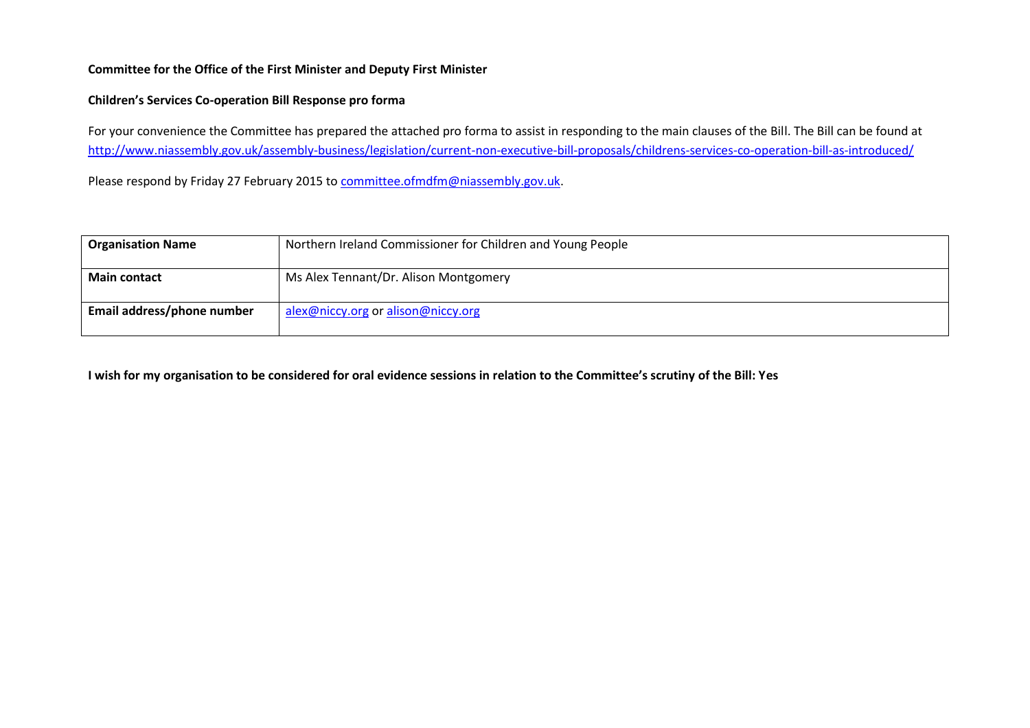#### **Committee for the Office of the First Minister and Deputy First Minister**

## **Children's Services Co-operation Bill Response pro forma**

For your convenience the Committee has prepared the attached pro forma to assist in responding to the main clauses of the Bill. The Bill can be found at <http://www.niassembly.gov.uk/assembly-business/legislation/current-non-executive-bill-proposals/childrens-services-co-operation-bill-as-introduced/>

Please respond by Friday 27 February 2015 t[o committee.ofmdfm@niassembly.gov.uk.](mailto:committee.ofmdfm@niassembly.gov.uk)

| <b>Organisation Name</b>   | Northern Ireland Commissioner for Children and Young People |
|----------------------------|-------------------------------------------------------------|
| <b>Main contact</b>        | Ms Alex Tennant/Dr. Alison Montgomery                       |
| Email address/phone number | alex@niccy.org or alison@niccy.org                          |

**I wish for my organisation to be considered for oral evidence sessions in relation to the Committee's scrutiny of the Bill: Yes**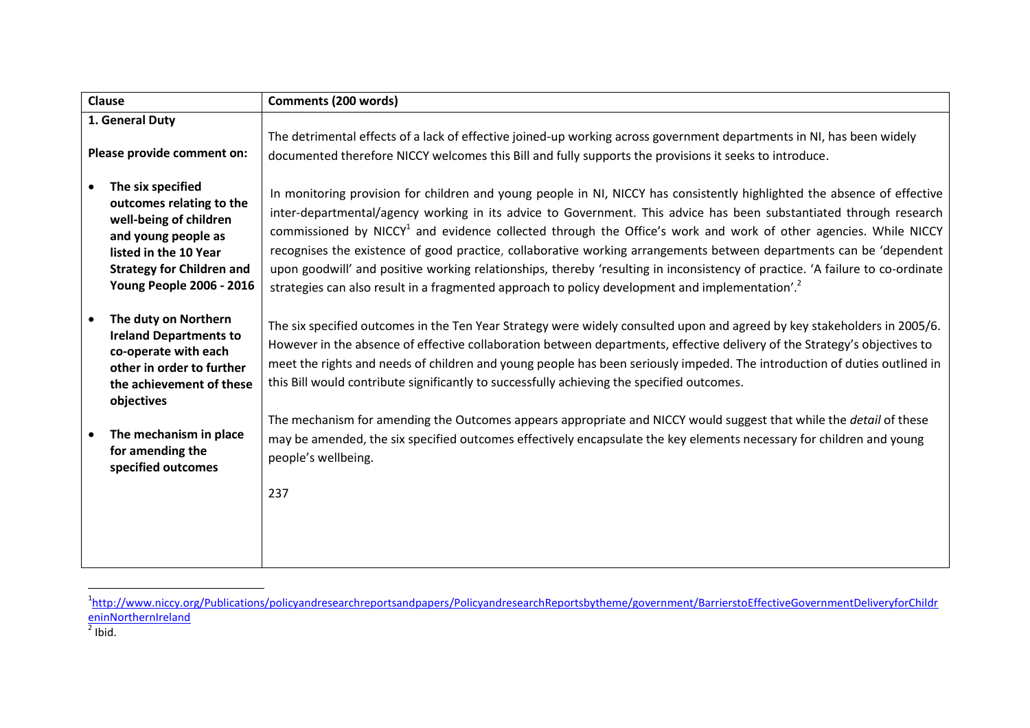| <b>Clause</b>                                                                                                                                                                                               | <b>Comments (200 words)</b>                                                                                                                                                                                                                                                                                                                                                                                                                                                                                                                                                                                                                                                                                                                          |
|-------------------------------------------------------------------------------------------------------------------------------------------------------------------------------------------------------------|------------------------------------------------------------------------------------------------------------------------------------------------------------------------------------------------------------------------------------------------------------------------------------------------------------------------------------------------------------------------------------------------------------------------------------------------------------------------------------------------------------------------------------------------------------------------------------------------------------------------------------------------------------------------------------------------------------------------------------------------------|
| 1. General Duty                                                                                                                                                                                             |                                                                                                                                                                                                                                                                                                                                                                                                                                                                                                                                                                                                                                                                                                                                                      |
| Please provide comment on:                                                                                                                                                                                  | The detrimental effects of a lack of effective joined-up working across government departments in NI, has been widely<br>documented therefore NICCY welcomes this Bill and fully supports the provisions it seeks to introduce.                                                                                                                                                                                                                                                                                                                                                                                                                                                                                                                      |
| The six specified<br>$\bullet$<br>outcomes relating to the<br>well-being of children<br>and young people as<br>listed in the 10 Year<br><b>Strategy for Children and</b><br><b>Young People 2006 - 2016</b> | In monitoring provision for children and young people in NI, NICCY has consistently highlighted the absence of effective<br>inter-departmental/agency working in its advice to Government. This advice has been substantiated through research<br>commissioned by NICCY <sup>1</sup> and evidence collected through the Office's work and work of other agencies. While NICCY<br>recognises the existence of good practice, collaborative working arrangements between departments can be 'dependent<br>upon goodwill' and positive working relationships, thereby 'resulting in inconsistency of practice. 'A failure to co-ordinate<br>strategies can also result in a fragmented approach to policy development and implementation'. <sup>2</sup> |
| The duty on Northern<br><b>Ireland Departments to</b><br>co-operate with each<br>other in order to further<br>the achievement of these<br>objectives                                                        | The six specified outcomes in the Ten Year Strategy were widely consulted upon and agreed by key stakeholders in 2005/6.<br>However in the absence of effective collaboration between departments, effective delivery of the Strategy's objectives to<br>meet the rights and needs of children and young people has been seriously impeded. The introduction of duties outlined in<br>this Bill would contribute significantly to successfully achieving the specified outcomes.                                                                                                                                                                                                                                                                     |
| The mechanism in place<br>for amending the<br>specified outcomes                                                                                                                                            | The mechanism for amending the Outcomes appears appropriate and NICCY would suggest that while the detail of these<br>may be amended, the six specified outcomes effectively encapsulate the key elements necessary for children and young<br>people's wellbeing.                                                                                                                                                                                                                                                                                                                                                                                                                                                                                    |
|                                                                                                                                                                                                             | 237                                                                                                                                                                                                                                                                                                                                                                                                                                                                                                                                                                                                                                                                                                                                                  |

 1 [http://www.niccy.org/Publications/policyandresearchreportsandpapers/PolicyandresearchReportsbytheme/government/BarrierstoEffectiveGovernmentDeliveryforChildr](http://www.niccy.org/Publications/policyandresearchreportsandpapers/PolicyandresearchReportsbytheme/government/BarrierstoEffectiveGovernmentDeliveryforChildreninNorthernIreland) <mark>[eninNorthernIreland](http://www.niccy.org/Publications/policyandresearchreportsandpapers/PolicyandresearchReportsbytheme/government/BarrierstoEffectiveGovernmentDeliveryforChildreninNorthernIreland)</mark><br><sup>2</sup> Ibid.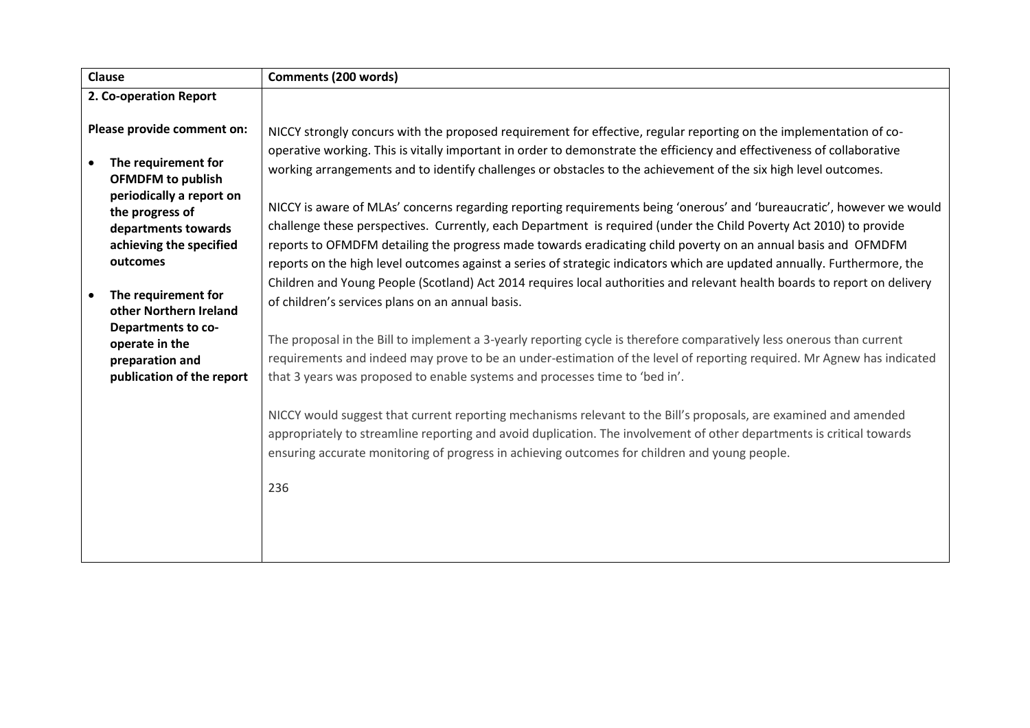| Clause                                                                                                                                    | Comments (200 words)                                                                                                                                                                                                                                                                                                                                                                                                                                                                                                                             |
|-------------------------------------------------------------------------------------------------------------------------------------------|--------------------------------------------------------------------------------------------------------------------------------------------------------------------------------------------------------------------------------------------------------------------------------------------------------------------------------------------------------------------------------------------------------------------------------------------------------------------------------------------------------------------------------------------------|
| 2. Co-operation Report                                                                                                                    |                                                                                                                                                                                                                                                                                                                                                                                                                                                                                                                                                  |
| Please provide comment on:<br>The requirement for<br>$\bullet$<br><b>OFMDFM</b> to publish<br>periodically a report on<br>the progress of | NICCY strongly concurs with the proposed requirement for effective, regular reporting on the implementation of co-<br>operative working. This is vitally important in order to demonstrate the efficiency and effectiveness of collaborative<br>working arrangements and to identify challenges or obstacles to the achievement of the six high level outcomes.<br>NICCY is aware of MLAs' concerns regarding reporting requirements being 'onerous' and 'bureaucratic', however we would                                                        |
| departments towards<br>achieving the specified<br>outcomes<br>The requirement for<br>other Northern Ireland                               | challenge these perspectives. Currently, each Department is required (under the Child Poverty Act 2010) to provide<br>reports to OFMDFM detailing the progress made towards eradicating child poverty on an annual basis and OFMDFM<br>reports on the high level outcomes against a series of strategic indicators which are updated annually. Furthermore, the<br>Children and Young People (Scotland) Act 2014 requires local authorities and relevant health boards to report on delivery<br>of children's services plans on an annual basis. |
| Departments to co-<br>operate in the<br>preparation and<br>publication of the report                                                      | The proposal in the Bill to implement a 3-yearly reporting cycle is therefore comparatively less onerous than current<br>requirements and indeed may prove to be an under-estimation of the level of reporting required. Mr Agnew has indicated<br>that 3 years was proposed to enable systems and processes time to 'bed in'.                                                                                                                                                                                                                   |
|                                                                                                                                           | NICCY would suggest that current reporting mechanisms relevant to the Bill's proposals, are examined and amended<br>appropriately to streamline reporting and avoid duplication. The involvement of other departments is critical towards<br>ensuring accurate monitoring of progress in achieving outcomes for children and young people.<br>236                                                                                                                                                                                                |
|                                                                                                                                           |                                                                                                                                                                                                                                                                                                                                                                                                                                                                                                                                                  |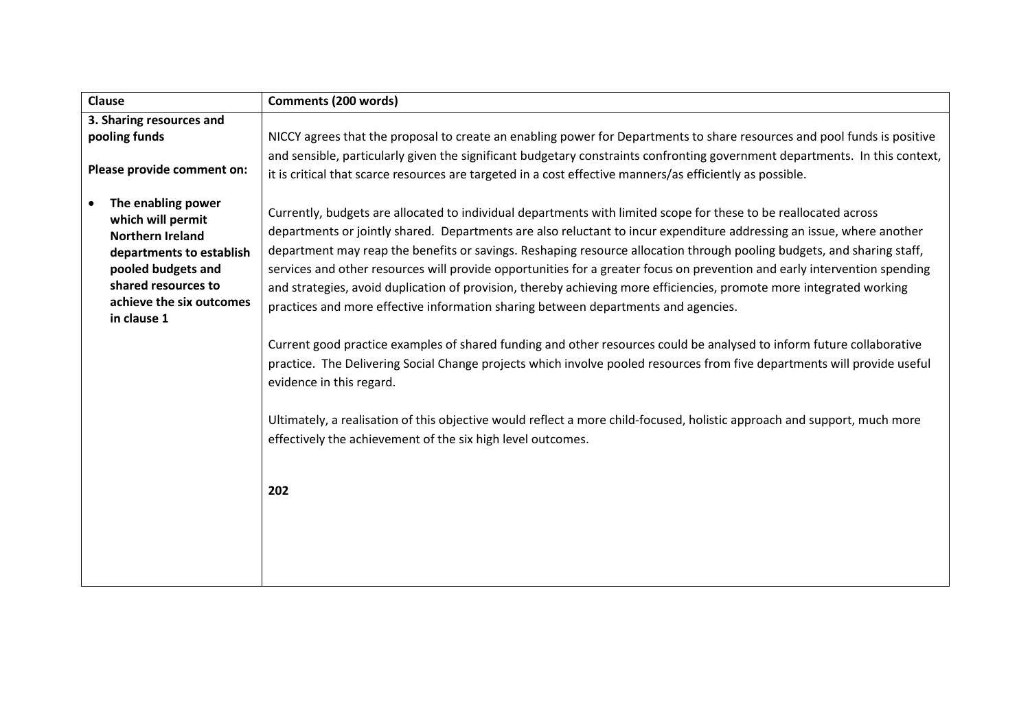| Clause                                                                                                                                                                                              | <b>Comments (200 words)</b>                                                                                                                                                                                                                                                                                                                                                                                                                                                                                                                                                                                                                                                                                                                                                                                                                                                                                                                                                                                                                                                                                                                                                                       |
|-----------------------------------------------------------------------------------------------------------------------------------------------------------------------------------------------------|---------------------------------------------------------------------------------------------------------------------------------------------------------------------------------------------------------------------------------------------------------------------------------------------------------------------------------------------------------------------------------------------------------------------------------------------------------------------------------------------------------------------------------------------------------------------------------------------------------------------------------------------------------------------------------------------------------------------------------------------------------------------------------------------------------------------------------------------------------------------------------------------------------------------------------------------------------------------------------------------------------------------------------------------------------------------------------------------------------------------------------------------------------------------------------------------------|
| 3. Sharing resources and                                                                                                                                                                            |                                                                                                                                                                                                                                                                                                                                                                                                                                                                                                                                                                                                                                                                                                                                                                                                                                                                                                                                                                                                                                                                                                                                                                                                   |
| pooling funds                                                                                                                                                                                       | NICCY agrees that the proposal to create an enabling power for Departments to share resources and pool funds is positive                                                                                                                                                                                                                                                                                                                                                                                                                                                                                                                                                                                                                                                                                                                                                                                                                                                                                                                                                                                                                                                                          |
| Please provide comment on:                                                                                                                                                                          | and sensible, particularly given the significant budgetary constraints confronting government departments. In this context,<br>it is critical that scarce resources are targeted in a cost effective manners/as efficiently as possible.                                                                                                                                                                                                                                                                                                                                                                                                                                                                                                                                                                                                                                                                                                                                                                                                                                                                                                                                                          |
| The enabling power<br>$\bullet$<br>which will permit<br><b>Northern Ireland</b><br>departments to establish<br>pooled budgets and<br>shared resources to<br>achieve the six outcomes<br>in clause 1 | Currently, budgets are allocated to individual departments with limited scope for these to be reallocated across<br>departments or jointly shared. Departments are also reluctant to incur expenditure addressing an issue, where another<br>department may reap the benefits or savings. Reshaping resource allocation through pooling budgets, and sharing staff,<br>services and other resources will provide opportunities for a greater focus on prevention and early intervention spending<br>and strategies, avoid duplication of provision, thereby achieving more efficiencies, promote more integrated working<br>practices and more effective information sharing between departments and agencies.<br>Current good practice examples of shared funding and other resources could be analysed to inform future collaborative<br>practice. The Delivering Social Change projects which involve pooled resources from five departments will provide useful<br>evidence in this regard.<br>Ultimately, a realisation of this objective would reflect a more child-focused, holistic approach and support, much more<br>effectively the achievement of the six high level outcomes.<br>202 |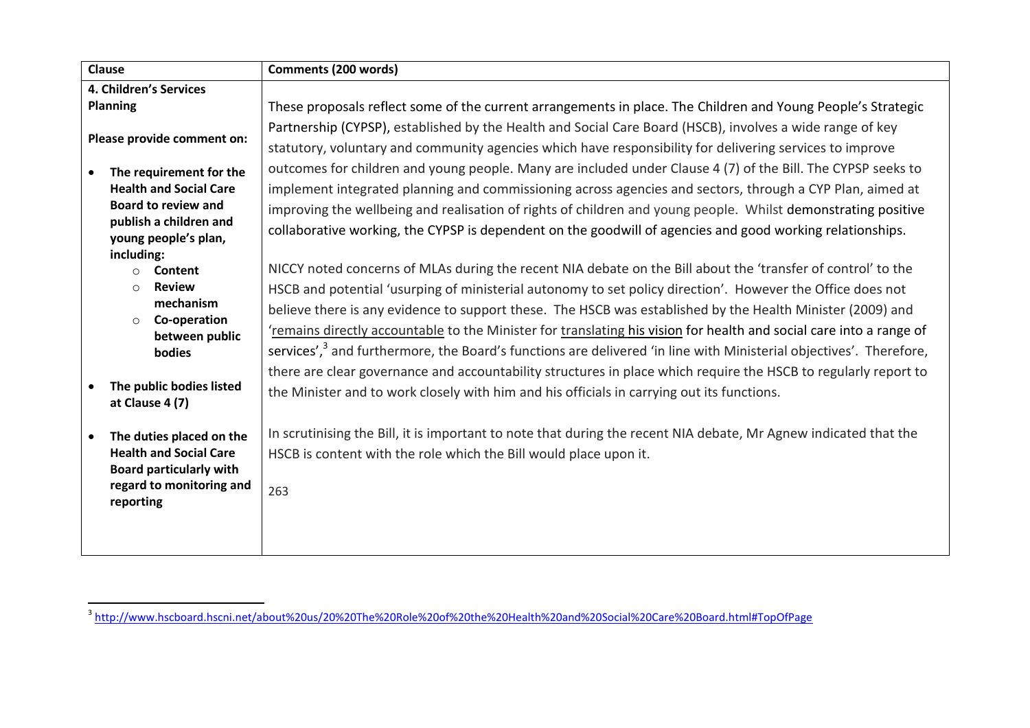|                            | Clause                                         | <b>Comments (200 words)</b>                                                                                                    |
|----------------------------|------------------------------------------------|--------------------------------------------------------------------------------------------------------------------------------|
| 4. Children's Services     |                                                |                                                                                                                                |
|                            | Planning                                       | These proposals reflect some of the current arrangements in place. The Children and Young People's Strategic                   |
| Please provide comment on: |                                                | Partnership (CYPSP), established by the Health and Social Care Board (HSCB), involves a wide range of key                      |
|                            |                                                | statutory, voluntary and community agencies which have responsibility for delivering services to improve                       |
|                            | The requirement for the                        | outcomes for children and young people. Many are included under Clause 4 (7) of the Bill. The CYPSP seeks to                   |
|                            | <b>Health and Social Care</b>                  | implement integrated planning and commissioning across agencies and sectors, through a CYP Plan, aimed at                      |
|                            | <b>Board to review and</b>                     | improving the wellbeing and realisation of rights of children and young people. Whilst demonstrating positive                  |
|                            | publish a children and<br>young people's plan, | collaborative working, the CYPSP is dependent on the goodwill of agencies and good working relationships.                      |
|                            | including:                                     |                                                                                                                                |
|                            | Content<br>$\circ$                             | NICCY noted concerns of MLAs during the recent NIA debate on the Bill about the 'transfer of control' to the                   |
|                            | <b>Review</b><br>$\circ$                       | HSCB and potential 'usurping of ministerial autonomy to set policy direction'. However the Office does not                     |
|                            | mechanism                                      | believe there is any evidence to support these. The HSCB was established by the Health Minister (2009) and                     |
|                            | Co-operation<br>$\circ$<br>between public      | 'remains directly accountable to the Minister for translating his vision for health and social care into a range of            |
|                            | bodies                                         | services', <sup>3</sup> and furthermore, the Board's functions are delivered 'in line with Ministerial objectives'. Therefore, |
|                            |                                                | there are clear governance and accountability structures in place which require the HSCB to regularly report to                |
|                            | The public bodies listed<br>at Clause 4 (7)    | the Minister and to work closely with him and his officials in carrying out its functions.                                     |
|                            |                                                |                                                                                                                                |
|                            | The duties placed on the                       | In scrutinising the Bill, it is important to note that during the recent NIA debate, Mr Agnew indicated that the               |
|                            | <b>Health and Social Care</b>                  | HSCB is content with the role which the Bill would place upon it.                                                              |
|                            | <b>Board particularly with</b>                 |                                                                                                                                |
|                            | regard to monitoring and<br>reporting          | 263                                                                                                                            |
|                            |                                                |                                                                                                                                |
|                            |                                                |                                                                                                                                |
|                            |                                                |                                                                                                                                |

 3 <http://www.hscboard.hscni.net/about%20us/20%20The%20Role%20of%20the%20Health%20and%20Social%20Care%20Board.html#TopOfPage>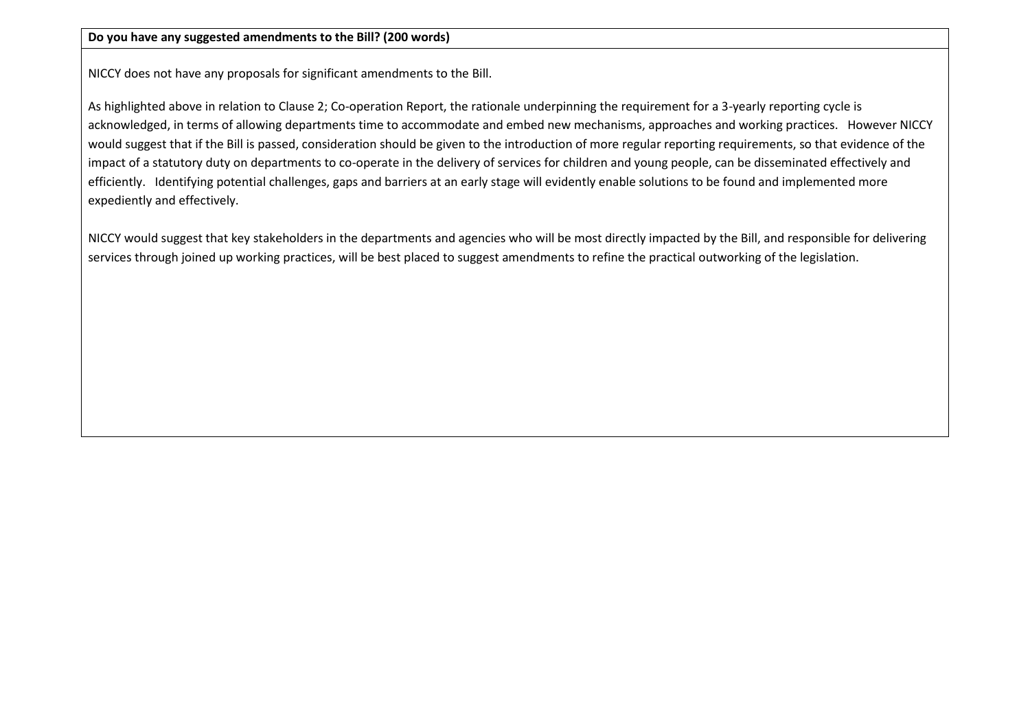NICCY does not have any proposals for significant amendments to the Bill.

As highlighted above in relation to Clause 2; Co-operation Report, the rationale underpinning the requirement for a 3-yearly reporting cycle is acknowledged, in terms of allowing departments time to accommodate and embed new mechanisms, approaches and working practices. However NICCY would suggest that if the Bill is passed, consideration should be given to the introduction of more regular reporting requirements, so that evidence of the impact of a statutory duty on departments to co-operate in the delivery of services for children and young people, can be disseminated effectively and efficiently. Identifying potential challenges, gaps and barriers at an early stage will evidently enable solutions to be found and implemented more expediently and effectively.

NICCY would suggest that key stakeholders in the departments and agencies who will be most directly impacted by the Bill, and responsible for delivering services through joined up working practices, will be best placed to suggest amendments to refine the practical outworking of the legislation.